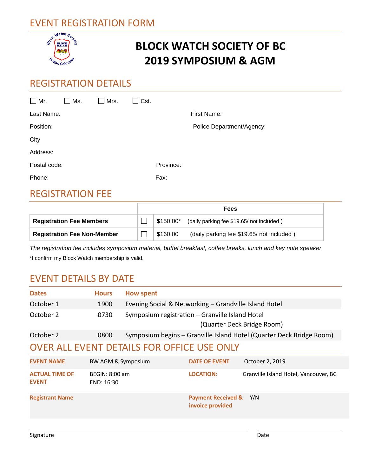## EVENT REGISTRATION FORM



# **BLOCK WATCH SOCIETY OF BC 2019 SYMPOSIUM & AGM**

### REGISTRATION DETAILS

| $\square$ Mr. | Ms.                     | Mrs. | Cst.      |                           |
|---------------|-------------------------|------|-----------|---------------------------|
| Last Name:    |                         |      |           | First Name:               |
| Position:     |                         |      |           | Police Department/Agency: |
| City          |                         |      |           |                           |
| Address:      |                         |      |           |                           |
| Postal code:  |                         |      | Province: |                           |
| Phone:        |                         |      | Fax:      |                           |
|               | <b>DECISTDATION FEE</b> |      |           |                           |

#### REGISTRATION FEE

|                                    | Fees |            |                                          |  |
|------------------------------------|------|------------|------------------------------------------|--|
| <b>Registration Fee Members</b>    |      | 。\$150.00* | (daily parking fee \$19.65/not included) |  |
| <b>Registration Fee Non-Member</b> |      | \$160.00   | (daily parking fee \$19.65/not included) |  |

*The registration fee includes symposium material, buffet breakfast, coffee breaks, lunch and key note speaker.* \*I confirm my Block Watch membership is valid.

### EVENT DETAILS BY DATE

| <b>Dates</b>                               | <b>Hours</b>                 | <b>How spent</b>                                      |                                                   |                                                                      |  |  |  |
|--------------------------------------------|------------------------------|-------------------------------------------------------|---------------------------------------------------|----------------------------------------------------------------------|--|--|--|
| October 1                                  | 1900                         | Evening Social & Networking - Grandville Island Hotel |                                                   |                                                                      |  |  |  |
| October 2                                  | 0730                         | Symposium registration – Granville Island Hotel       |                                                   | (Quarter Deck Bridge Room)                                           |  |  |  |
| October 2                                  | 0800                         |                                                       |                                                   | Symposium begins - Granville Island Hotel (Quarter Deck Bridge Room) |  |  |  |
| OVER ALL EVENT DETAILS FOR OFFICE USE ONLY |                              |                                                       |                                                   |                                                                      |  |  |  |
| <b>EVENT NAME</b>                          | BW AGM & Symposium           |                                                       | <b>DATE OF EVENT</b>                              | October 2, 2019                                                      |  |  |  |
| <b>ACTUAL TIME OF</b><br><b>EVENT</b>      | BEGIN: 8:00 am<br>END: 16:30 |                                                       | <b>LOCATION:</b>                                  | Granville Island Hotel, Vancouver, BC                                |  |  |  |
| <b>Registrant Name</b>                     |                              |                                                       | <b>Payment Received &amp;</b><br>invoice provided | Y/N                                                                  |  |  |  |